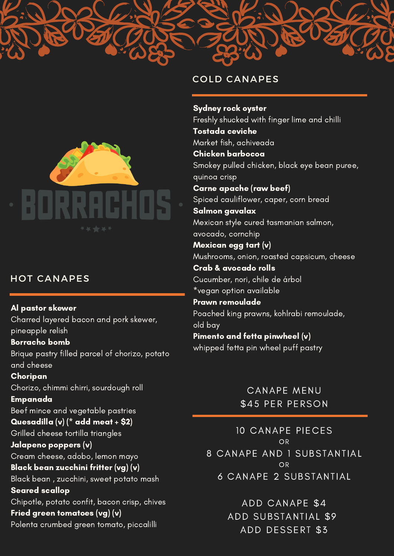

# HOT CANAPES

Al pastor skewer Charred layered bacon and pork skewer, pineapple relish Borracho bomb Brique pastry filled parcel of chorizo, potato and cheese Choripan Chorizo, chimmi chirri, sourdough roll Empanada Beef mince and vegetable pastries Quesadilla (v) (\* add meat + \$2) Grilled cheese tortilla triangles Jalapeno poppers (v) Cream cheese, adobo, lemon mayo Black bean zucchini fritter (vg) (v) Black bean , zucchini, sweet potato mash Seared scallop Chipotle, potato confit, bacon crisp, chives Fried green tomatoes (vg) (v) Polenta crumbed green tomato, piccalilli

#### COLD CANAPES

Sydney rock oyster Freshly shucked with finger lime and chilli Tostada ceviche Market fish, achiveada Chicken barbocoa Smokey pulled chicken, black eye bean puree, quinoa crisp Carne apache (raw beef) Spiced cauliflower, caper, corn bread Salmon gavalax Mexican style cured tasmanian salmon, avocado, cornchip Mexican egg tart (v) Mushrooms, onion, roasted capsicum, cheese Crab & avocado rolls Cucumber, nori, chile de árbol \*vegan option available Prawn remoulade Poached king prawns, kohlrabi remoulade, old bay Pimento and fetta pinwheel (v) whipped fetta pin wheel puff pastry

> CANAPE MENU \$45 PER PERSON

10 CANAPE PIECES OR 8 CANAPE AND 1 SUBSTANTIAL OR 6 CANAPE 2 SUBSTANTIAL

> ADD CANAPE \$4 ADD SUBSTANTIAL \$9 ADD DESSERT \$3